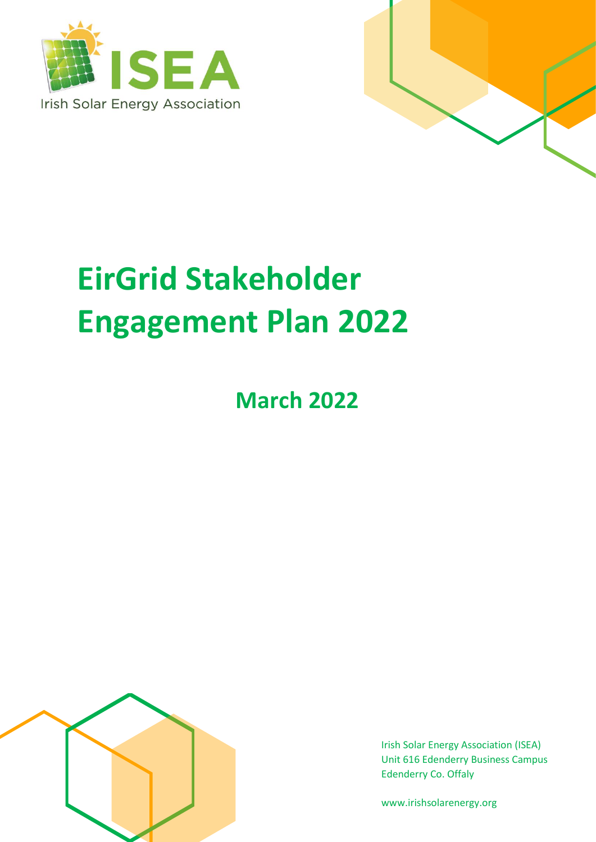



# **EirGrid Stakeholder Engagement Plan 2022**

# **March 2022**



Irish Solar Energy Association (ISEA) Unit 616 Edenderry Business Campus Edenderry Co. Offaly

www.irishsolarenergy.org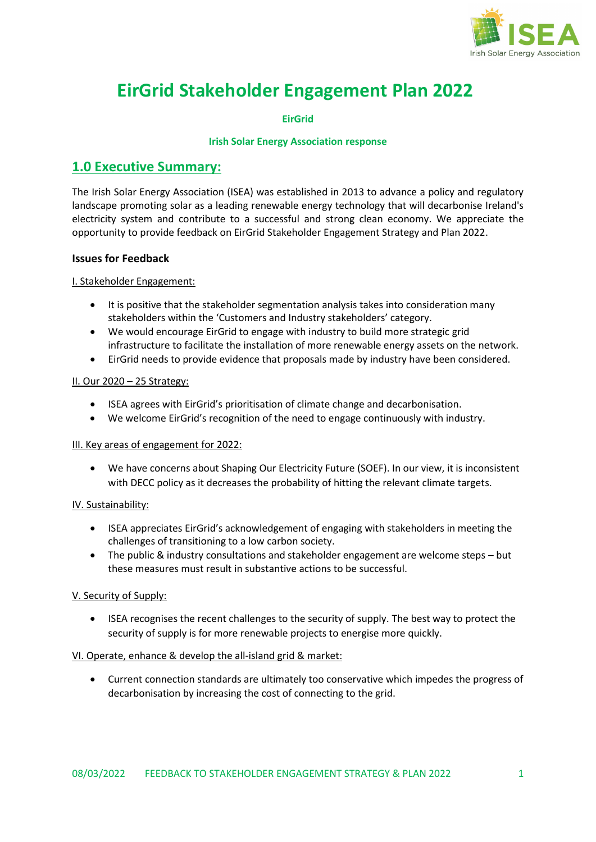

# **EirGrid Stakeholder Engagement Plan 2022**

**EirGrid**

#### **Irish Solar Energy Association response**

#### **1.0 Executive Summary:**

The Irish Solar Energy Association (ISEA) was established in 2013 to advance a policy and regulatory landscape promoting solar as a leading renewable energy technology that will decarbonise Ireland's electricity system and contribute to a successful and strong clean economy. We appreciate the opportunity to provide feedback on EirGrid Stakeholder Engagement Strategy and Plan 2022.

#### **Issues for Feedback**

#### I. Stakeholder Engagement:

- It is positive that the stakeholder segmentation analysis takes into consideration many stakeholders within the 'Customers and Industry stakeholders' category.
- We would encourage EirGrid to engage with industry to build more strategic grid infrastructure to facilitate the installation of more renewable energy assets on the network.
- EirGrid needs to provide evidence that proposals made by industry have been considered.

#### II. Our 2020 – 25 Strategy:

- ISEA agrees with EirGrid's prioritisation of climate change and decarbonisation.
- We welcome EirGrid's recognition of the need to engage continuously with industry.

#### III. Key areas of engagement for 2022:

• We have concerns about Shaping Our Electricity Future (SOEF). In our view, it is inconsistent with DECC policy as it decreases the probability of hitting the relevant climate targets.

#### IV. Sustainability:

- ISEA appreciates EirGrid's acknowledgement of engaging with stakeholders in meeting the challenges of transitioning to a low carbon society.
- The public & industry consultations and stakeholder engagement are welcome steps but these measures must result in substantive actions to be successful.

#### V. Security of Supply:

• ISEA recognises the recent challenges to the security of supply. The best way to protect the security of supply is for more renewable projects to energise more quickly.

#### VI. Operate, enhance & develop the all-island grid & market:

• Current connection standards are ultimately too conservative which impedes the progress of decarbonisation by increasing the cost of connecting to the grid.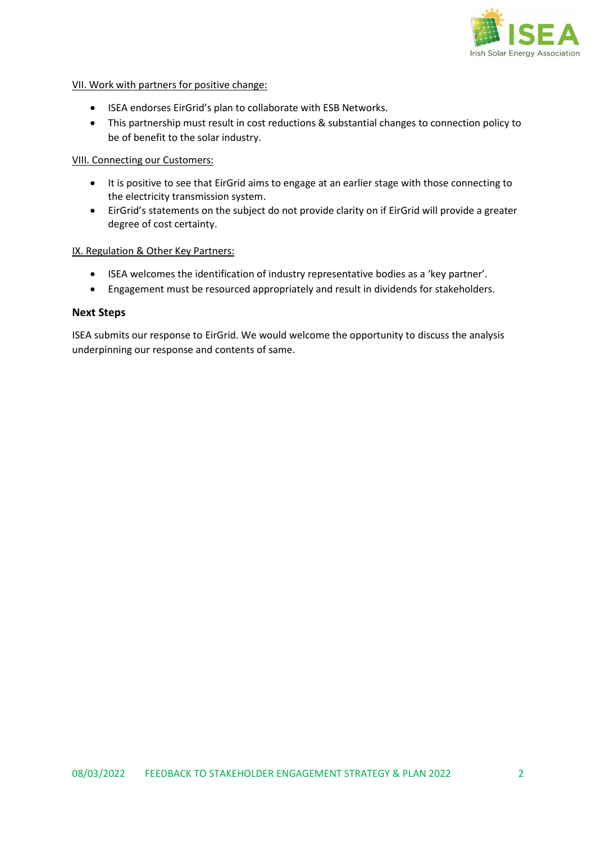

#### VII. Work with partners for positive change:

- ISEA endorses EirGrid's plan to collaborate with ESB Networks.
- This partnership must result in cost reductions & substantial changes to connection policy to be of benefit to the solar industry.

#### VIII. Connecting our Customers:

- It is positive to see that EirGrid aims to engage at an earlier stage with those connecting to the electricity transmission system.
- EirGrid's statements on the subject do not provide clarity on if EirGrid will provide a greater degree of cost certainty.

#### IX. Regulation & Other Key Partners:

- ISEA welcomes the identification of industry representative bodies as a 'key partner'.
- Engagement must be resourced appropriately and result in dividends for stakeholders.

#### **Next Steps**

ISEA submits our response to EirGrid. We would welcome the opportunity to discuss the analysis underpinning our response and contents of same.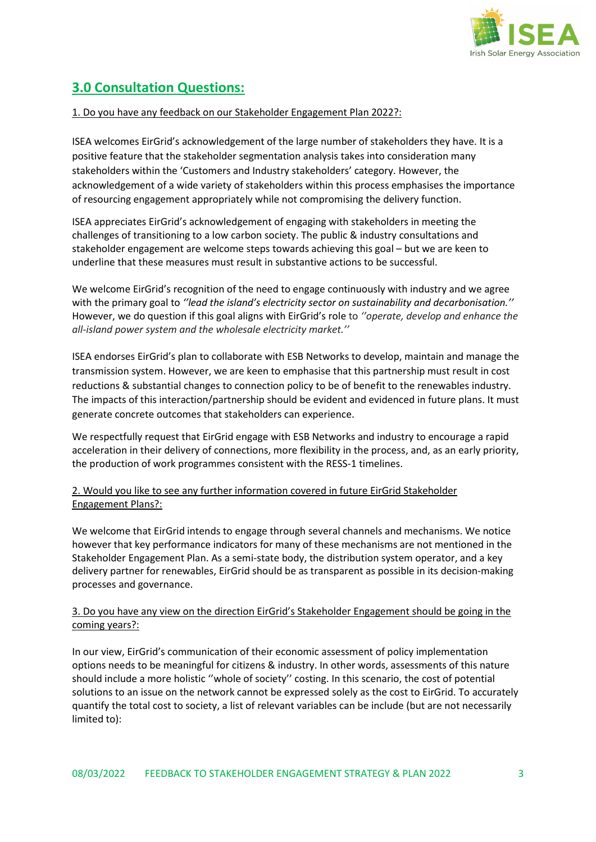

# **3.0 Consultation Questions:**

#### 1. Do you have any feedback on our Stakeholder Engagement Plan 2022?:

ISEA welcomes EirGrid's acknowledgement of the large number of stakeholders they have. It is a positive feature that the stakeholder segmentation analysis takes into consideration many stakeholders within the 'Customers and Industry stakeholders' category. However, the acknowledgement of a wide variety of stakeholders within this process emphasises the importance of resourcing engagement appropriately while not compromising the delivery function.

ISEA appreciates EirGrid's acknowledgement of engaging with stakeholders in meeting the challenges of transitioning to a low carbon society. The public & industry consultations and stakeholder engagement are welcome steps towards achieving this goal – but we are keen to underline that these measures must result in substantive actions to be successful.

We welcome EirGrid's recognition of the need to engage continuously with industry and we agree with the primary goal to *''lead the island's electricity sector on sustainability and decarbonisation.''*  However, we do question if this goal aligns with EirGrid's role to *''operate, develop and enhance the all-island power system and the wholesale electricity market.''*

ISEA endorses EirGrid's plan to collaborate with ESB Networks to develop, maintain and manage the transmission system. However, we are keen to emphasise that this partnership must result in cost reductions & substantial changes to connection policy to be of benefit to the renewables industry. The impacts of this interaction/partnership should be evident and evidenced in future plans. It must generate concrete outcomes that stakeholders can experience.

We respectfully request that EirGrid engage with ESB Networks and industry to encourage a rapid acceleration in their delivery of connections, more flexibility in the process, and, as an early priority, the production of work programmes consistent with the RESS-1 timelines.

#### 2. Would you like to see any further information covered in future EirGrid Stakeholder Engagement Plans?:

We welcome that EirGrid intends to engage through several channels and mechanisms. We notice however that key performance indicators for many of these mechanisms are not mentioned in the Stakeholder Engagement Plan. As a semi-state body, the distribution system operator, and a key delivery partner for renewables, EirGrid should be as transparent as possible in its decision-making processes and governance.

#### 3. Do you have any view on the direction EirGrid's Stakeholder Engagement should be going in the coming years?:

In our view, EirGrid's communication of their economic assessment of policy implementation options needs to be meaningful for citizens & industry. In other words, assessments of this nature should include a more holistic ''whole of society'' costing. In this scenario, the cost of potential solutions to an issue on the network cannot be expressed solely as the cost to EirGrid. To accurately quantify the total cost to society, a list of relevant variables can be include (but are not necessarily limited to):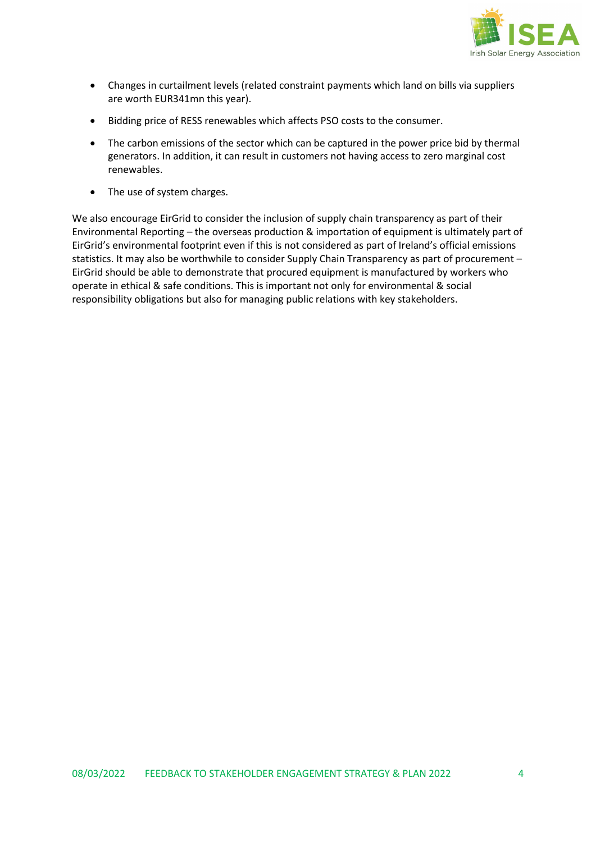

- Changes in curtailment levels (related constraint payments which land on bills via suppliers are worth EUR341mn this year).
- Bidding price of RESS renewables which affects PSO costs to the consumer.
- The carbon emissions of the sector which can be captured in the power price bid by thermal generators. In addition, it can result in customers not having access to zero marginal cost renewables.
- The use of system charges.

We also encourage EirGrid to consider the inclusion of supply chain transparency as part of their Environmental Reporting – the overseas production & importation of equipment is ultimately part of EirGrid's environmental footprint even if this is not considered as part of Ireland's official emissions statistics. It may also be worthwhile to consider Supply Chain Transparency as part of procurement – EirGrid should be able to demonstrate that procured equipment is manufactured by workers who operate in ethical & safe conditions. This is important not only for environmental & social responsibility obligations but also for managing public relations with key stakeholders.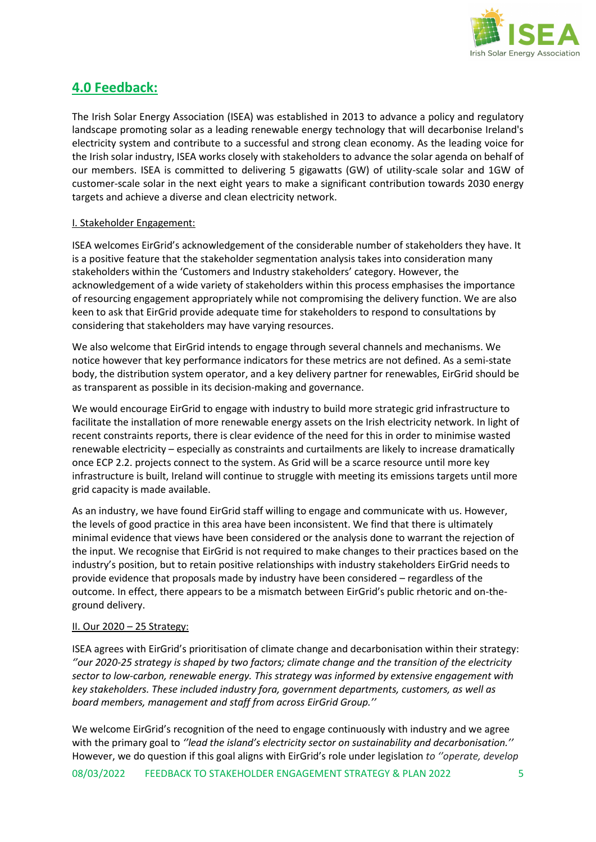

### **4.0 Feedback:**

The Irish Solar Energy Association (ISEA) was established in 2013 to advance a policy and regulatory landscape promoting solar as a leading renewable energy technology that will decarbonise Ireland's electricity system and contribute to a successful and strong clean economy. As the leading voice for the Irish solar industry, ISEA works closely with stakeholders to advance the solar agenda on behalf of our members. ISEA is committed to delivering 5 gigawatts (GW) of utility-scale solar and 1GW of customer-scale solar in the next eight years to make a significant contribution towards 2030 energy targets and achieve a diverse and clean electricity network.

#### I. Stakeholder Engagement:

ISEA welcomes EirGrid's acknowledgement of the considerable number of stakeholders they have. It is a positive feature that the stakeholder segmentation analysis takes into consideration many stakeholders within the 'Customers and Industry stakeholders' category. However, the acknowledgement of a wide variety of stakeholders within this process emphasises the importance of resourcing engagement appropriately while not compromising the delivery function. We are also keen to ask that EirGrid provide adequate time for stakeholders to respond to consultations by considering that stakeholders may have varying resources.

We also welcome that EirGrid intends to engage through several channels and mechanisms. We notice however that key performance indicators for these metrics are not defined. As a semi-state body, the distribution system operator, and a key delivery partner for renewables, EirGrid should be as transparent as possible in its decision-making and governance.

We would encourage EirGrid to engage with industry to build more strategic grid infrastructure to facilitate the installation of more renewable energy assets on the Irish electricity network. In light of recent constraints reports, there is clear evidence of the need for this in order to minimise wasted renewable electricity – especially as constraints and curtailments are likely to increase dramatically once ECP 2.2. projects connect to the system. As Grid will be a scarce resource until more key infrastructure is built, Ireland will continue to struggle with meeting its emissions targets until more grid capacity is made available.

As an industry, we have found EirGrid staff willing to engage and communicate with us. However, the levels of good practice in this area have been inconsistent. We find that there is ultimately minimal evidence that views have been considered or the analysis done to warrant the rejection of the input. We recognise that EirGrid is not required to make changes to their practices based on the industry's position, but to retain positive relationships with industry stakeholders EirGrid needs to provide evidence that proposals made by industry have been considered – regardless of the outcome. In effect, there appears to be a mismatch between EirGrid's public rhetoric and on-theground delivery.

#### II. Our 2020 – 25 Strategy:

ISEA agrees with EirGrid's prioritisation of climate change and decarbonisation within their strategy: *''our 2020-25 strategy is shaped by two factors; climate change and the transition of the electricity sector to low-carbon, renewable energy. This strategy was informed by extensive engagement with key stakeholders. These included industry fora, government departments, customers, as well as board members, management and staff from across EirGrid Group.''*

We welcome EirGrid's recognition of the need to engage continuously with industry and we agree with the primary goal to *''lead the island's electricity sector on sustainability and decarbonisation.''*  However, we do question if this goal aligns with EirGrid's role under legislation *to ''operate, develop*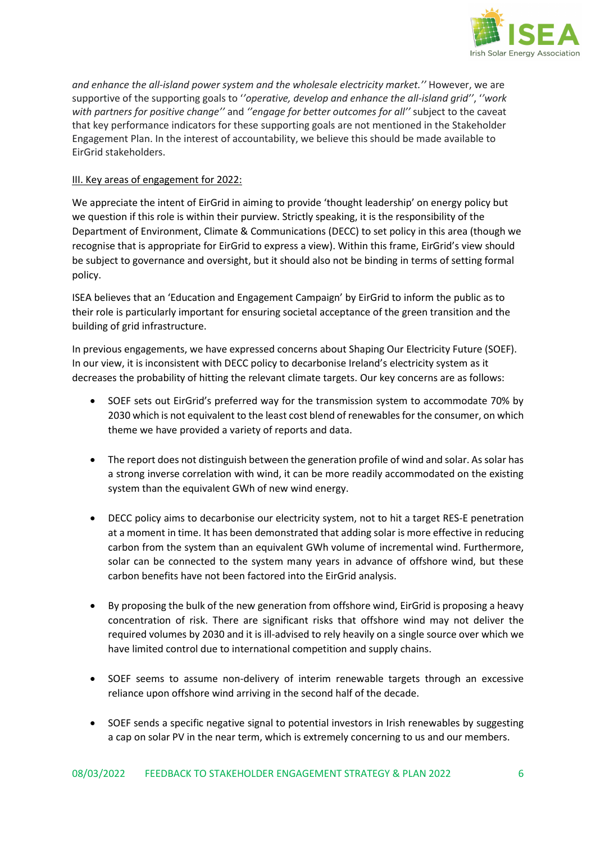

*and enhance the all-island power system and the wholesale electricity market.''* However, we are supportive of the supporting goals to '*'operative, develop and enhance the all-island grid''*, '*'work with partners for positive change''* and *''engage for better outcomes for all''* subject to the caveat that key performance indicators for these supporting goals are not mentioned in the Stakeholder Engagement Plan. In the interest of accountability, we believe this should be made available to EirGrid stakeholders.

#### III. Key areas of engagement for 2022:

We appreciate the intent of EirGrid in aiming to provide 'thought leadership' on energy policy but we question if this role is within their purview. Strictly speaking, it is the responsibility of the Department of Environment, Climate & Communications (DECC) to set policy in this area (though we recognise that is appropriate for EirGrid to express a view). Within this frame, EirGrid's view should be subject to governance and oversight, but it should also not be binding in terms of setting formal policy.

ISEA believes that an 'Education and Engagement Campaign' by EirGrid to inform the public as to their role is particularly important for ensuring societal acceptance of the green transition and the building of grid infrastructure.

In previous engagements, we have expressed concerns about Shaping Our Electricity Future (SOEF). In our view, it is inconsistent with DECC policy to decarbonise Ireland's electricity system as it decreases the probability of hitting the relevant climate targets. Our key concerns are as follows:

- SOEF sets out EirGrid's preferred way for the transmission system to accommodate 70% by 2030 which is not equivalent to the least cost blend of renewables for the consumer, on which theme we have provided a variety of reports and data.
- The report does not distinguish between the generation profile of wind and solar. As solar has a strong inverse correlation with wind, it can be more readily accommodated on the existing system than the equivalent GWh of new wind energy.
- DECC policy aims to decarbonise our electricity system, not to hit a target RES-E penetration at a moment in time. It has been demonstrated that adding solar is more effective in reducing carbon from the system than an equivalent GWh volume of incremental wind. Furthermore, solar can be connected to the system many years in advance of offshore wind, but these carbon benefits have not been factored into the EirGrid analysis.
- By proposing the bulk of the new generation from offshore wind, EirGrid is proposing a heavy concentration of risk. There are significant risks that offshore wind may not deliver the required volumes by 2030 and it is ill-advised to rely heavily on a single source over which we have limited control due to international competition and supply chains.
- SOEF seems to assume non-delivery of interim renewable targets through an excessive reliance upon offshore wind arriving in the second half of the decade.
- SOEF sends a specific negative signal to potential investors in Irish renewables by suggesting a cap on solar PV in the near term, which is extremely concerning to us and our members.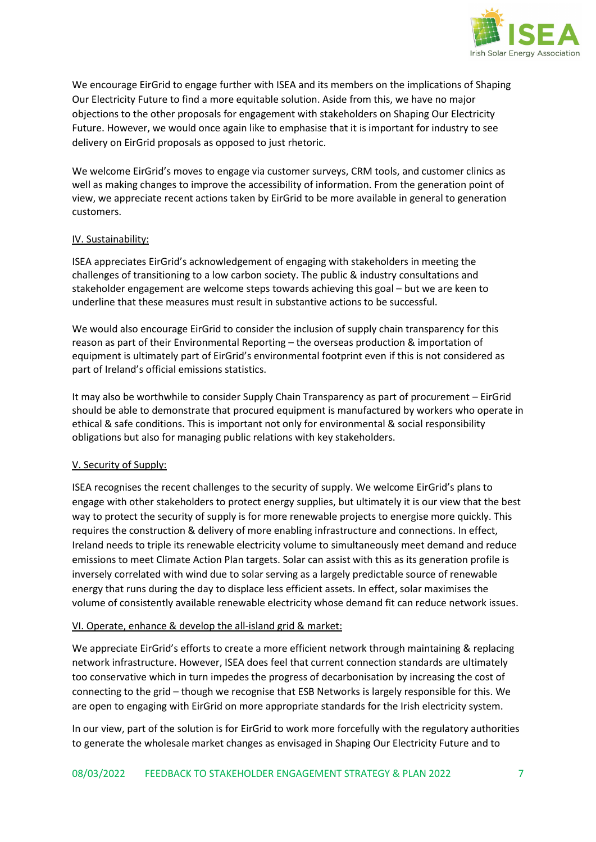

We encourage EirGrid to engage further with ISEA and its members on the implications of Shaping Our Electricity Future to find a more equitable solution. Aside from this, we have no major objections to the other proposals for engagement with stakeholders on Shaping Our Electricity Future. However, we would once again like to emphasise that it is important for industry to see delivery on EirGrid proposals as opposed to just rhetoric.

We welcome EirGrid's moves to engage via customer surveys, CRM tools, and customer clinics as well as making changes to improve the accessibility of information. From the generation point of view, we appreciate recent actions taken by EirGrid to be more available in general to generation customers.

#### IV. Sustainability:

ISEA appreciates EirGrid's acknowledgement of engaging with stakeholders in meeting the challenges of transitioning to a low carbon society. The public & industry consultations and stakeholder engagement are welcome steps towards achieving this goal – but we are keen to underline that these measures must result in substantive actions to be successful.

We would also encourage EirGrid to consider the inclusion of supply chain transparency for this reason as part of their Environmental Reporting – the overseas production & importation of equipment is ultimately part of EirGrid's environmental footprint even if this is not considered as part of Ireland's official emissions statistics.

It may also be worthwhile to consider Supply Chain Transparency as part of procurement – EirGrid should be able to demonstrate that procured equipment is manufactured by workers who operate in ethical & safe conditions. This is important not only for environmental & social responsibility obligations but also for managing public relations with key stakeholders.

#### V. Security of Supply:

ISEA recognises the recent challenges to the security of supply. We welcome EirGrid's plans to engage with other stakeholders to protect energy supplies, but ultimately it is our view that the best way to protect the security of supply is for more renewable projects to energise more quickly. This requires the construction & delivery of more enabling infrastructure and connections. In effect, Ireland needs to triple its renewable electricity volume to simultaneously meet demand and reduce emissions to meet Climate Action Plan targets. Solar can assist with this as its generation profile is inversely correlated with wind due to solar serving as a largely predictable source of renewable energy that runs during the day to displace less efficient assets. In effect, solar maximises the volume of consistently available renewable electricity whose demand fit can reduce network issues.

#### VI. Operate, enhance & develop the all-island grid & market:

We appreciate EirGrid's efforts to create a more efficient network through maintaining & replacing network infrastructure. However, ISEA does feel that current connection standards are ultimately too conservative which in turn impedes the progress of decarbonisation by increasing the cost of connecting to the grid – though we recognise that ESB Networks is largely responsible for this. We are open to engaging with EirGrid on more appropriate standards for the Irish electricity system.

In our view, part of the solution is for EirGrid to work more forcefully with the regulatory authorities to generate the wholesale market changes as envisaged in Shaping Our Electricity Future and to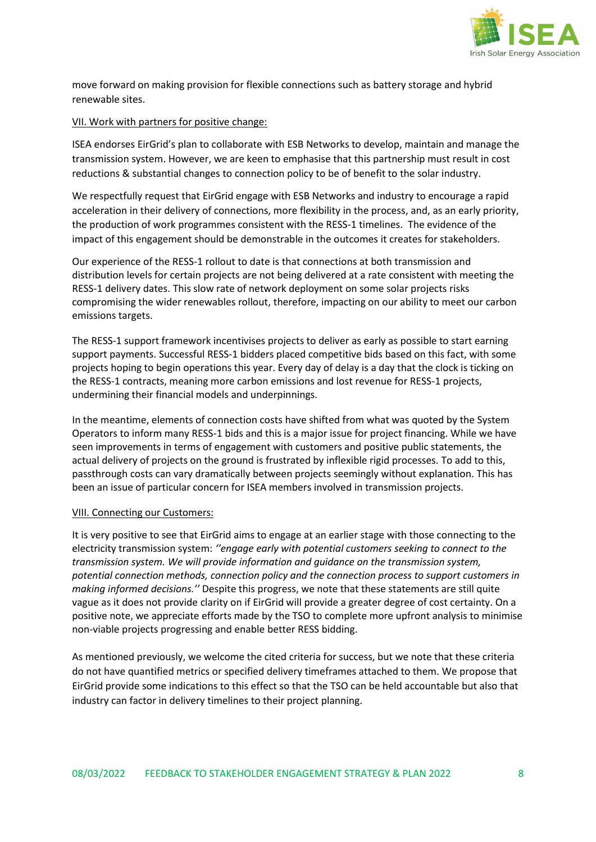

move forward on making provision for flexible connections such as battery storage and hybrid renewable sites.

#### VII. Work with partners for positive change:

ISEA endorses EirGrid's plan to collaborate with ESB Networks to develop, maintain and manage the transmission system. However, we are keen to emphasise that this partnership must result in cost reductions & substantial changes to connection policy to be of benefit to the solar industry.

We respectfully request that EirGrid engage with ESB Networks and industry to encourage a rapid acceleration in their delivery of connections, more flexibility in the process, and, as an early priority, the production of work programmes consistent with the RESS-1 timelines. The evidence of the impact of this engagement should be demonstrable in the outcomes it creates for stakeholders.

Our experience of the RESS-1 rollout to date is that connections at both transmission and distribution levels for certain projects are not being delivered at a rate consistent with meeting the RESS-1 delivery dates. This slow rate of network deployment on some solar projects risks compromising the wider renewables rollout, therefore, impacting on our ability to meet our carbon emissions targets.

The RESS-1 support framework incentivises projects to deliver as early as possible to start earning support payments. Successful RESS-1 bidders placed competitive bids based on this fact, with some projects hoping to begin operations this year. Every day of delay is a day that the clock is ticking on the RESS-1 contracts, meaning more carbon emissions and lost revenue for RESS-1 projects, undermining their financial models and underpinnings.

In the meantime, elements of connection costs have shifted from what was quoted by the System Operators to inform many RESS-1 bids and this is a major issue for project financing. While we have seen improvements in terms of engagement with customers and positive public statements, the actual delivery of projects on the ground is frustrated by inflexible rigid processes. To add to this, passthrough costs can vary dramatically between projects seemingly without explanation. This has been an issue of particular concern for ISEA members involved in transmission projects.

#### VIII. Connecting our Customers:

It is very positive to see that EirGrid aims to engage at an earlier stage with those connecting to the electricity transmission system: *''engage early with potential customers seeking to connect to the transmission system. We will provide information and guidance on the transmission system, potential connection methods, connection policy and the connection process to support customers in making informed decisions.''* Despite this progress, we note that these statements are still quite vague as it does not provide clarity on if EirGrid will provide a greater degree of cost certainty. On a positive note, we appreciate efforts made by the TSO to complete more upfront analysis to minimise non-viable projects progressing and enable better RESS bidding.

As mentioned previously, we welcome the cited criteria for success, but we note that these criteria do not have quantified metrics or specified delivery timeframes attached to them. We propose that EirGrid provide some indications to this effect so that the TSO can be held accountable but also that industry can factor in delivery timelines to their project planning.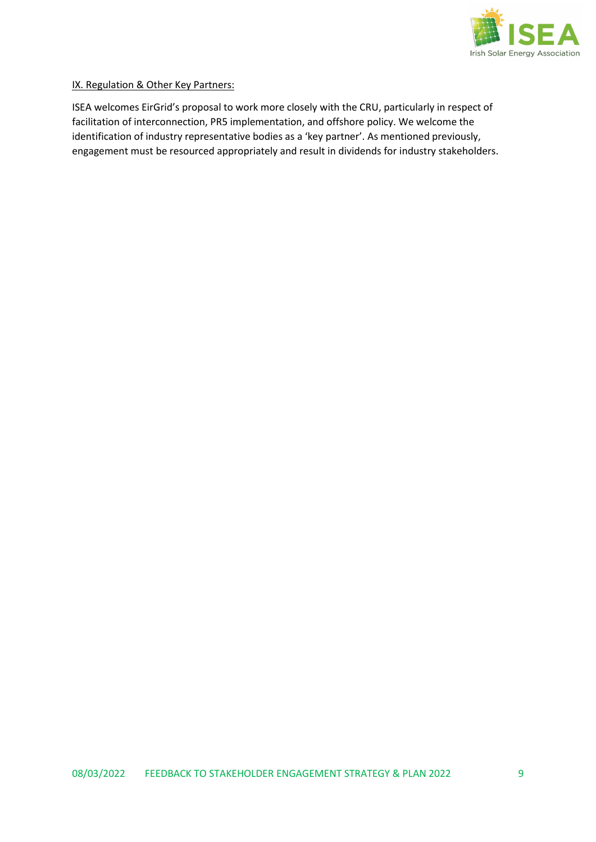

#### IX. Regulation & Other Key Partners:

ISEA welcomes EirGrid's proposal to work more closely with the CRU, particularly in respect of facilitation of interconnection, PR5 implementation, and offshore policy. We welcome the identification of industry representative bodies as a 'key partner'. As mentioned previously, engagement must be resourced appropriately and result in dividends for industry stakeholders.